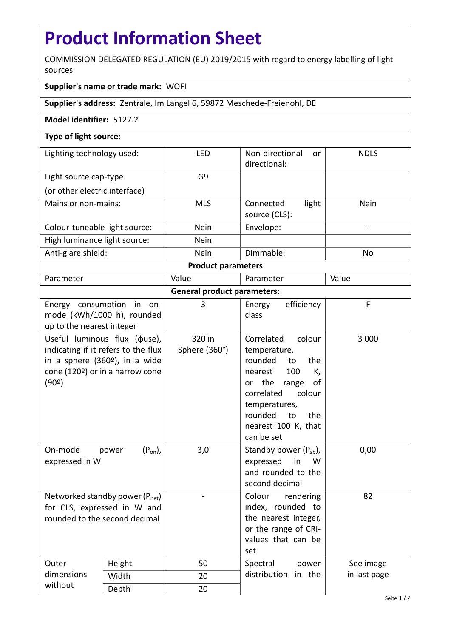## **Product Information Sheet**

COMMISSION DELEGATED REGULATION (EU) 2019/2015 with regard to energy labelling of light sources

## **Supplier's name or trade mark:** WOFI

**Supplier's address:** Zentrale, Im Langel 6, 59872 Meschede-Freienohl, DE

## **Model identifier:** 5127.2

## **Type of light source:**

| Lighting technology used:     | <b>LFD</b>  | Non-directional<br><sub>or</sub><br>directional: | <b>NDLS</b> |  |  |
|-------------------------------|-------------|--------------------------------------------------|-------------|--|--|
| Light source cap-type         | G9          |                                                  |             |  |  |
| (or other electric interface) |             |                                                  |             |  |  |
| Mains or non-mains:           | <b>MLS</b>  | light<br>Connected<br>source (CLS):              | <b>Nein</b> |  |  |
| Colour-tuneable light source: | <b>Nein</b> | Envelope:                                        |             |  |  |
| High luminance light source:  | <b>Nein</b> |                                                  |             |  |  |
| Anti-glare shield:            | <b>Nein</b> | Dimmable:                                        | No          |  |  |
| <b>Product parameters</b>     |             |                                                  |             |  |  |

| Parameter                          |                                                                                                                                                             | Value                   | Parameter                                                                                                                                                                                                           | Value        |  |
|------------------------------------|-------------------------------------------------------------------------------------------------------------------------------------------------------------|-------------------------|---------------------------------------------------------------------------------------------------------------------------------------------------------------------------------------------------------------------|--------------|--|
| <b>General product parameters:</b> |                                                                                                                                                             |                         |                                                                                                                                                                                                                     |              |  |
| up to the nearest integer          | Energy consumption in on-<br>mode (kWh/1000 h), rounded                                                                                                     | 3                       | efficiency<br>Energy<br>class                                                                                                                                                                                       | F            |  |
| (90°)                              | Useful luminous flux ( $\phi$ use),<br>indicating if it refers to the flux<br>in a sphere (360 <sup>o</sup> ), in a wide<br>cone (120º) or in a narrow cone | 320 in<br>Sphere (360°) | Correlated<br>colour<br>temperature,<br>rounded<br>the<br>to<br>100<br>K,<br>nearest<br>or the<br>of<br>range<br>correlated<br>colour<br>temperatures,<br>rounded<br>to<br>the<br>nearest 100 K, that<br>can be set | 3 0 0 0      |  |
| On-mode<br>expressed in W          | $(P_{on})$ ,<br>power                                                                                                                                       | 3,0                     | Standby power $(P_{sb})$ ,<br>expressed<br>in<br>W<br>and rounded to the<br>second decimal                                                                                                                          | 0,00         |  |
| rounded to the second decimal      | Networked standby power $(P_{net})$<br>for CLS, expressed in W and                                                                                          |                         | Colour<br>rendering<br>index, rounded to<br>the nearest integer,<br>or the range of CRI-<br>values that can be<br>set                                                                                               | 82           |  |
| Outer<br>dimensions<br>without     | Height                                                                                                                                                      | 50                      | Spectral<br>power                                                                                                                                                                                                   | See image    |  |
|                                    | Width                                                                                                                                                       | 20                      | distribution in the                                                                                                                                                                                                 | in last page |  |
|                                    | Depth                                                                                                                                                       | 20                      |                                                                                                                                                                                                                     | Seite 1/2    |  |